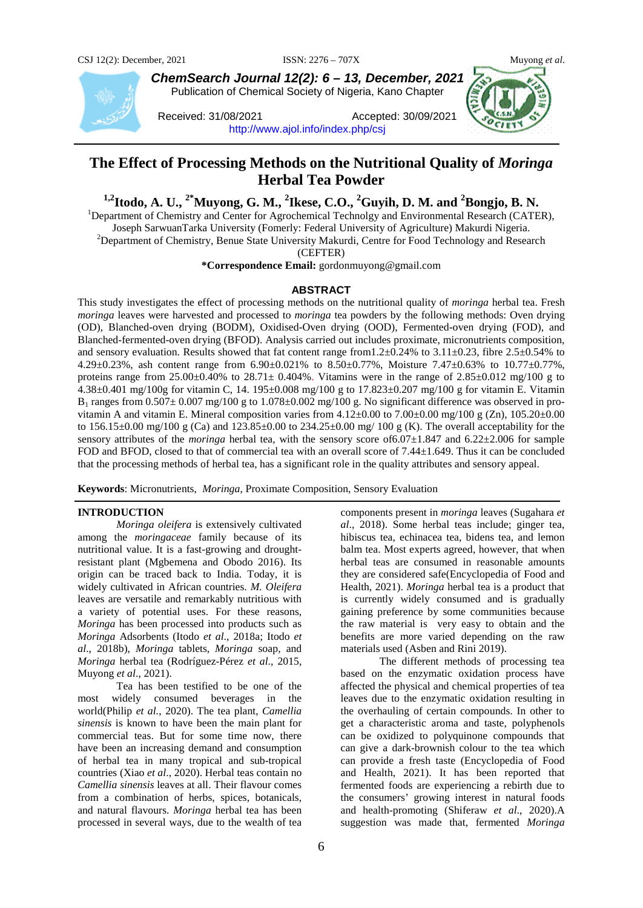

*ChemSearch Journal 12(2): 6 – 13, December, 2021* Publication of Chemical Society of Nigeria, Kano Chapter

Received: 31/08/2021 Accepted: 30/09/2021 <http://www.ajol.info/index.php/csj>

# **The Effect of Processing Methods on the Nutritional Quality of** *Moringa* **Herbal Tea Powder**

<sup>1,2</sup>**Itodo, A. U.,** <sup>2\*</sup>**Muyong, G. M., <sup>2</sup> Ikese, C.O., <sup>2</sup>Guyih, D. M. and <sup>2</sup>Bongjo, B. N.** <sup>1</sup> Department of Chamistry and Conter for Agreedomical Technology and Environmental Basearch (CATE

<sup>1</sup>Department of Chemistry and Center for Agrochemical Technolgy and Environmental Research (CATER),

Joseph SarwuanTarka University (Fomerly: Federal University of Agriculture) Makurdi Nigeria. <sup>2</sup>

 $<sup>2</sup>$ Department of Chemistry, Benue State University Makurdi, Centre for Food Technology and Research</sup>

(CEFTER)

**\*Correspondence Email:** gordonmuyong@gmail.com

# **ABSTRACT**

This study investigates the effect of processing methods on the nutritional quality of *moringa* herbal tea. Fresh *moringa* leaves were harvested and processed to *moringa* tea powders by the following methods: Oven drying (OD), Blanched-oven drying (BODM), Oxidised-Oven drying (OOD), Fermented-oven drying (FOD), and Blanched-fermented-oven drying (BFOD). Analysis carried out includes proximate, micronutrients composition, and sensory evaluation. Results showed that fat content range from1.2±0.24% to 3.11±0.23, fibre 2.5±0.54% to 4.29±0.23%, ash content range from 6.90±0.021% to 8.50±0.77%, Moisture 7.47±0.63% to 10.77±0.77%, proteins range from  $25.00\pm0.40\%$  to  $28.71\pm 0.404\%$ . Vitamins were in the range of  $2.85\pm0.012$  mg/100 g to 4.38±0.401 mg/100g for vitamin C, 14. 195±0.008 mg/100 g to 17.823±0.207 mg/100 g for vitamin E. Vitamin  $B_1$  ranges from  $0.507 \pm 0.007$  mg/100 g to 1.078 $\pm 0.002$  mg/100 g. No significant difference was observed in provitamin A and vitamin E. Mineral composition varies from  $4.12\pm0.00$  to  $7.00\pm0.00$  mg/100 g (Zn),  $105.20\pm0.00$ to 156.15 $\pm$ 0.00 mg/100 g (Ca) and 123.85 $\pm$ 0.00 to 234.25 $\pm$ 0.00 mg/ 100 g (K). The overall acceptability for the sensory attributes of the *moringa* herbal tea, with the sensory score of 6.07 $\pm$ 1.847 and 6.22 $\pm$ 2.006 for sample FOD and BFOD, closed to that of commercial tea with an overall score of 7.44±1.649. Thus it can be concluded that the processing methods of herbal tea, has a significant role in the quality attributes and sensory appeal.

**Keywords**: Micronutrients, *Moringa*, Proximate Composition, Sensory Evaluation

# **INTRODUCTION**

*Moringa oleifera* is extensively cultivated among the *moringaceae* family because of its nutritional value. It is a fast-growing and droughtresistant plant (Mgbemena and Obodo 2016). Its origin can be traced back to India. Today, it is widely cultivated in African countries. *M. Oleifera*  leaves are versatile and remarkably nutritious with a variety of potential uses. For these reasons, *Moringa* has been processed into products such as *Moringa* Adsorbents (Itodo *et al*., 2018a; Itodo *et al*., 2018b), *Moringa* tablets, *Moringa* soap, and *Moringa* herbal tea (Rodríguez-Pérez *et al*., 2015, Muyong *et al*., 2021).

Tea has been testified to be one of the most widely consumed beverages in the world(Philip *et al.*, 2020). The tea plant, *Camellia sinensis* is known to have been the main plant for commercial teas. But for some time now, there have been an increasing demand and consumption of herbal tea in many tropical and sub-tropical countries (Xiao *et al*., 2020). Herbal teas contain no *Camellia sinensis* leaves at all. Their flavour comes from a combination of herbs, spices, botanicals, and natural flavours. *Moringa* herbal tea has been processed in several ways, due to the wealth of tea

components present in *moringa* leaves (Sugahara *et al*., 2018). Some herbal teas include; ginger tea, hibiscus tea, echinacea tea, bidens tea, and lemon balm tea. Most experts agreed, however, that when herbal teas are consumed in reasonable amounts they are considered safe(Encyclopedia of Food and Health, 2021). *Moringa* herbal tea is a product that is currently widely consumed and is gradually gaining preference by some communities because the raw material is very easy to obtain and the benefits are more varied depending on the raw materials used (Asben and Rini 2019).

The different methods of processing tea based on the enzymatic oxidation process have affected the physical and chemical properties of tea leaves due to the enzymatic oxidation resulting in the overhauling of certain compounds. In other to get a characteristic aroma and taste, polyphenols can be oxidized to polyquinone compounds that can give a dark-brownish colour to the tea which can provide a fresh taste (Encyclopedia of Food and Health, 2021). It has been reported that fermented foods are experiencing a rebirth due to the consumers' growing interest in natural foods and health-promoting (Shiferaw *et al*., 2020).A suggestion was made that, fermented *Moringa*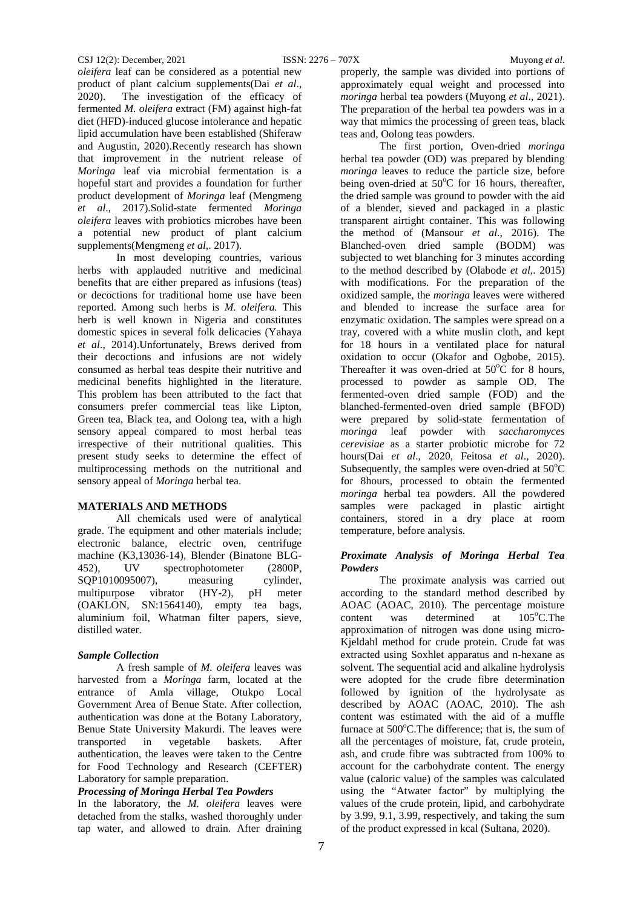*oleifera* leaf can be considered as a potential new product of plant calcium supplements(Dai *et al*., 2020). The investigation of the efficacy of fermented *M. oleifera* extract (FM) against high-fat diet (HFD)-induced glucose intolerance and hepatic lipid accumulation have been established (Shiferaw and Augustin, 2020).Recently research has shown that improvement in the nutrient release of *Moringa* leaf via microbial fermentation is a hopeful start and provides a foundation for further product development of *Moringa* leaf (Mengmeng *et al*., 2017).Solid-state fermented *Moringa oleifera* leaves with probiotics microbes have been a potential new product of plant calcium supplements(Mengmeng *et al*,. 2017).

In most developing countries, various herbs with applauded nutritive and medicinal benefits that are either prepared as infusions (teas) or decoctions for traditional home use have been reported. Among such herbs is *M. oleifera.* This herb is well known in Nigeria and constitutes domestic spices in several folk delicacies (Yahaya *et al*., 2014).Unfortunately, Brews derived from their decoctions and infusions are not widely consumed as herbal teas despite their nutritive and medicinal benefits highlighted in the literature. This problem has been attributed to the fact that consumers prefer commercial teas like Lipton, Green tea, Black tea, and Oolong tea, with a high sensory appeal compared to most herbal teas irrespective of their nutritional qualities. This present study seeks to determine the effect of multiprocessing methods on the nutritional and sensory appeal of *Moringa* herbal tea.

# **MATERIALS AND METHODS**

All chemicals used were of analytical grade. The equipment and other materials include; electronic balance, electric oven, centrifuge machine (K3,13036-14), Blender (Binatone BLG-452), UV spectrophotometer (2800P, SQP1010095007), measuring cylinder,<br>multipurpose vibrator (HY-2), pH meter multipurpose vibrator (HY-2), pH meter (OAKLON, SN:1564140), empty tea bags, aluminium foil, Whatman filter papers, sieve, distilled water.

#### *Sample Collection*

A fresh sample of *M. oleifera* leaves was harvested from a *Moringa* farm, located at the entrance of Amla village, Otukpo Local Government Area of Benue State. After collection, authentication was done at the Botany Laboratory, Benue State University Makurdi. The leaves were transported in vegetable baskets. After authentication, the leaves were taken to the Centre for Food Technology and Research (CEFTER) Laboratory for sample preparation.

#### *Processing of Moringa Herbal Tea Powders*

In the laboratory, the *M. oleifera* leaves were detached from the stalks, washed thoroughly under tap water, and allowed to drain. After draining properly, the sample was divided into portions of approximately equal weight and processed into *moringa* herbal tea powders (Muyong *et al*., 2021). The preparation of the herbal tea powders was in a way that mimics the processing of green teas, black teas and, Oolong teas powders.

The first portion, Oven-dried *moringa* herbal tea powder (OD) was prepared by blending *moringa* leaves to reduce the particle size, before being oven-dried at  $50^{\circ}$ C for 16 hours, thereafter, the dried sample was ground to powder with the aid of a blender, sieved and packaged in a plastic transparent airtight container. This was following the method of (Mansour *et al*., 2016). The Blanched-oven dried sample (BODM) was subjected to wet blanching for 3 minutes according to the method described by (Olabode *et al*,. 2015) with modifications. For the preparation of the oxidized sample, the *moringa* leaves were withered and blended to increase the surface area for enzymatic oxidation. The samples were spread on a tray, covered with a white muslin cloth, and kept for 18 hours in a ventilated place for natural oxidation to occur (Okafor and Ogbobe, 2015). Thereafter it was oven-dried at  $50^{\circ}$ C for 8 hours, processed to powder as sample OD. The fermented-oven dried sample (FOD) and the blanched-fermented-oven dried sample (BFOD) were prepared by solid-state fermentation of *moringa* leaf powder with *saccharomyces cerevisiae* as a starter probiotic microbe for 72 hours(Dai *et al*., 2020, Feitosa *et al*., 2020). Subsequently, the samples were oven-dried at  $50^{\circ}$ C for 8hours, processed to obtain the fermented *moringa* herbal tea powders. All the powdered samples were packaged in plastic airtight containers, stored in a dry place at room temperature, before analysis.

# *Proximate Analysis of Moringa Herbal Tea Powders*

The proximate analysis was carried out according to the standard method described by AOAC (AOAC, 2010). The percentage moisture content was determined at  $105^{\circ}$ C.The approximation of nitrogen was done using micro-Kjeldahl method for crude protein. Crude fat was extracted using Soxhlet apparatus and n-hexane as solvent. The sequential acid and alkaline hydrolysis were adopted for the crude fibre determination followed by ignition of the hydrolysate as described by AOAC (AOAC, 2010). The ash content was estimated with the aid of a muffle furnace at 500°C. The difference; that is, the sum of all the percentages of moisture, fat, crude protein, ash, and crude fibre was subtracted from 100% to account for the carbohydrate content. The energy value (caloric value) of the samples was calculated using the "Atwater factor" by multiplying the values of the crude protein, lipid, and carbohydrate by 3.99, 9.1, 3.99, respectively, and taking the sum of the product expressed in kcal (Sultana, 2020).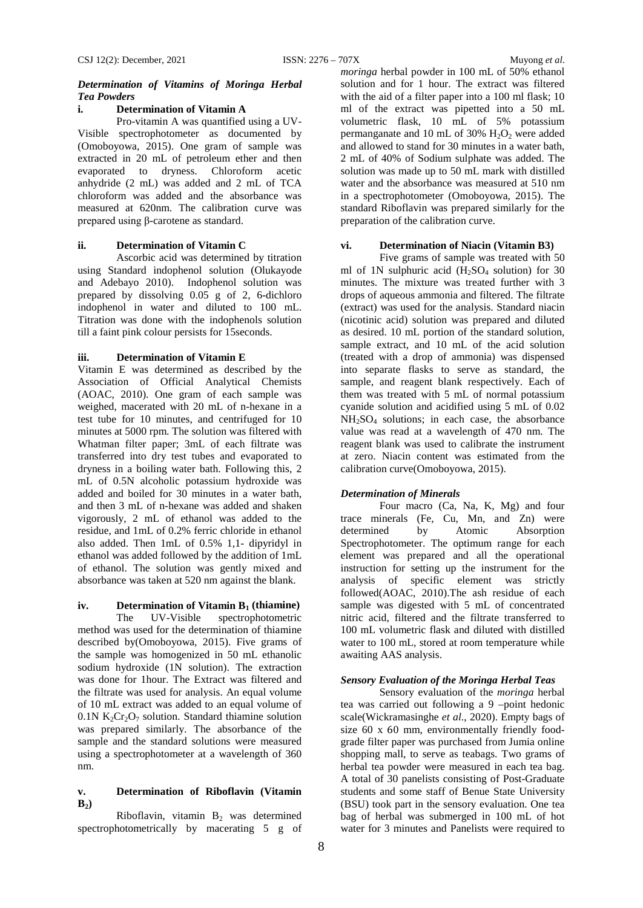# *Determination of Vitamins of Moringa Herbal Tea Powders*

# **i. Determination of Vitamin A**

Pro-vitamin A was quantified using a UV-Visible spectrophotometer as documented by (Omoboyowa, 2015). One gram of sample was extracted in 20 mL of petroleum ether and then evaporated to dryness. Chloroform acetic anhydride (2 mL) was added and 2 mL of TCA chloroform was added and the absorbance was measured at 620nm. The calibration curve was prepared using β-carotene as standard.

# **ii. Determination of Vitamin C**

Ascorbic acid was determined by titration using Standard indophenol solution (Olukayode and Adebayo 2010). Indophenol solution was prepared by dissolving 0.05 g of 2, 6-dichloro indophenol in water and diluted to 100 mL. Titration was done with the indophenols solution till a faint pink colour persists for 15seconds.

#### **iii. Determination of Vitamin E**

Vitamin E was determined as described by the Association of Official Analytical Chemists (AOAC, 2010). One gram of each sample was weighed, macerated with 20 mL of n-hexane in a test tube for 10 minutes, and centrifuged for 10 minutes at 5000 rpm. The solution was filtered with Whatman filter paper; 3mL of each filtrate was transferred into dry test tubes and evaporated to dryness in a boiling water bath. Following this, 2 mL of 0.5N alcoholic potassium hydroxide was added and boiled for 30 minutes in a water bath, and then 3 mL of n-hexane was added and shaken vigorously, 2 mL of ethanol was added to the residue, and 1mL of 0.2% ferric chloride in ethanol also added. Then 1mL of 0.5% 1,1- dipyridyl in ethanol was added followed by the addition of 1mL of ethanol. The solution was gently mixed and absorbance was taken at 520 nm against the blank.

# **iv. Determination of Vitamin B<sub>1</sub> (thiamine)**<br>The UV-Visible spectrophotometric

spectrophotometric method was used for the determination of thiamine described by(Omoboyowa, 2015). Five grams of the sample was homogenized in 50 mL ethanolic sodium hydroxide (1N solution). The extraction was done for 1hour. The Extract was filtered and the filtrate was used for analysis. An equal volume of 10 mL extract was added to an equal volume of  $0.1N K<sub>2</sub>Cr<sub>2</sub>O<sub>7</sub>$  solution. Standard thiamine solution was prepared similarly. The absorbance of the sample and the standard solutions were measured using a spectrophotometer at a wavelength of 360 nm.

# **v. Determination of Riboflavin (Vitamin**   $B_2$

Riboflavin, vitamin  $B_2$  was determined spectrophotometrically by macerating 5 g of

*moringa* herbal powder in 100 mL of 50% ethanol solution and for 1 hour. The extract was filtered with the aid of a filter paper into a 100 ml flask; 10 ml of the extract was pipetted into a 50 mL volumetric flask, 10 mL of 5% potassium permanganate and 10 mL of 30%  $H_2O_2$  were added and allowed to stand for 30 minutes in a water bath, 2 mL of 40% of Sodium sulphate was added. The solution was made up to 50 mL mark with distilled water and the absorbance was measured at 510 nm in a spectrophotometer (Omoboyowa, 2015). The standard Riboflavin was prepared similarly for the preparation of the calibration curve.

# **vi. Determination of Niacin (Vitamin B3)**

Five grams of sample was treated with 50 ml of 1N sulphuric acid  $(H_2SO_4)$  solution) for 30 minutes. The mixture was treated further with 3 drops of aqueous ammonia and filtered. The filtrate (extract) was used for the analysis. Standard niacin (nicotinic acid) solution was prepared and diluted as desired. 10 mL portion of the standard solution, sample extract, and 10 mL of the acid solution (treated with a drop of ammonia) was dispensed into separate flasks to serve as standard, the sample, and reagent blank respectively. Each of them was treated with 5 mL of normal potassium cyanide solution and acidified using 5 mL of 0.02 NH2SO4 solutions; in each case, the absorbance value was read at a wavelength of 470 nm. The reagent blank was used to calibrate the instrument at zero. Niacin content was estimated from the calibration curve(Omoboyowa, 2015).

#### *Determination of Minerals*

Four macro (Ca, Na, K, Mg) and four trace minerals (Fe, Cu, Mn, and Zn) were determined by Atomic Absorption Spectrophotometer. The optimum range for each element was prepared and all the operational instruction for setting up the instrument for the analysis of specific element was strictly followed(AOAC, 2010).The ash residue of each sample was digested with 5 mL of concentrated nitric acid, filtered and the filtrate transferred to 100 mL volumetric flask and diluted with distilled water to 100 mL, stored at room temperature while awaiting AAS analysis.

#### *Sensory Evaluation of the Moringa Herbal Teas*

Sensory evaluation of the *moringa* herbal tea was carried out following a 9 –point hedonic scale(Wickramasinghe *et al*., 2020). Empty bags of size 60 x 60 mm, environmentally friendly foodgrade filter paper was purchased from Jumia online shopping mall, to serve as teabags. Two grams of herbal tea powder were measured in each tea bag. A total of 30 panelists consisting of Post-Graduate students and some staff of Benue State University (BSU) took part in the sensory evaluation. One tea bag of herbal was submerged in 100 mL of hot water for 3 minutes and Panelists were required to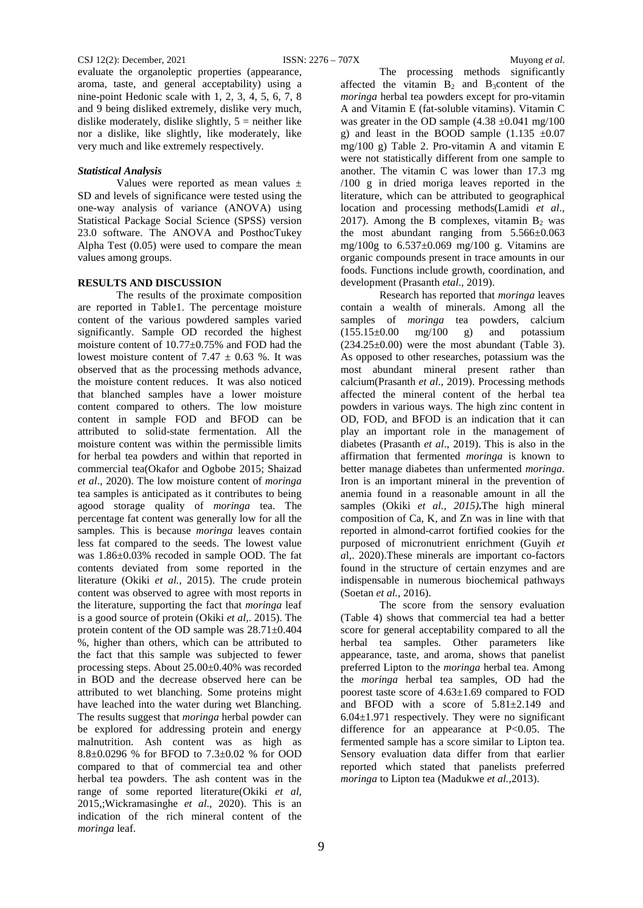evaluate the organoleptic properties (appearance, aroma, taste, and general acceptability) using a nine-point Hedonic scale with 1, 2, 3, 4, 5, 6, 7, 8 and 9 being disliked extremely, dislike very much, dislike moderately, dislike slightly,  $5$  = neither like nor a dislike, like slightly, like moderately, like very much and like extremely respectively.

### *Statistical Analysis*

Values were reported as mean values ± SD and levels of significance were tested using the one-way analysis of variance (ANOVA) using Statistical Package Social Science (SPSS) version 23.0 software. The ANOVA and PosthocTukey Alpha Test (0.05) were used to compare the mean values among groups.

# **RESULTS AND DISCUSSION**

The results of the proximate composition are reported in Table1. The percentage moisture content of the various powdered samples varied significantly. Sample OD recorded the highest moisture content of 10.77±0.75% and FOD had the lowest moisture content of 7.47  $\pm$  0.63 %. It was observed that as the processing methods advance, the moisture content reduces. It was also noticed that blanched samples have a lower moisture content compared to others. The low moisture content in sample FOD and BFOD can be attributed to solid-state fermentation. All the moisture content was within the permissible limits for herbal tea powders and within that reported in commercial tea(Okafor and Ogbobe 2015; Shaizad *et al*., 2020). The low moisture content of *moringa* tea samples is anticipated as it contributes to being agood storage quality of *moringa* tea. The percentage fat content was generally low for all the samples. This is because *moringa* leaves contain less fat compared to the seeds. The lowest value was 1.86±0.03% recoded in sample OOD. The fat contents deviated from some reported in the literature (Okiki *et al.*, 2015). The crude protein content was observed to agree with most reports in the literature, supporting the fact that *moringa* leaf is a good source of protein (Okiki *et al,*. 2015). The protein content of the OD sample was 28.71±0.404 %, higher than others, which can be attributed to the fact that this sample was subjected to fewer processing steps. About 25.00±0.40% was recorded in BOD and the decrease observed here can be attributed to wet blanching. Some proteins might have leached into the water during wet Blanching. The results suggest that *moringa* herbal powder can be explored for addressing protein and energy malnutrition. Ash content was as high as 8.8±0.0296 % for BFOD to 7.3±0.02 % for OOD compared to that of commercial tea and other herbal tea powders. The ash content was in the range of some reported literature(Okiki *et al*, 2015,;Wickramasinghe *et al*., 2020). This is an indication of the rich mineral content of the *moringa* leaf.

The processing methods significantly affected the vitamin  $B_2$  and  $B_3$ content of the *moringa* herbal tea powders except for pro-vitamin A and Vitamin E (fat-soluble vitamins). Vitamin C was greater in the OD sample  $(4.38 \pm 0.041 \text{ mg}/100$ g) and least in the BOOD sample  $(1.135 \pm 0.07)$ mg/100 g) Table 2. Pro-vitamin A and vitamin E were not statistically different from one sample to another. The vitamin C was lower than 17.3 mg /100 g in dried moriga leaves reported in the literature, which can be attributed to geographical location and processing methods(Lamidi *et al*., 2017). Among the B complexes, vitamin  $B_2$  was the most abundant ranging from  $5.566 \pm 0.063$ mg/100g to  $6.537 \pm 0.069$  mg/100 g. Vitamins are organic compounds present in trace amounts in our foods. Functions include growth, coordination, and development (Prasanth *etal*., 2019).

Research has reported that *moringa* leaves contain a wealth of minerals. Among all the samples of *moringa* tea powders, calcium  $(155.15\pm0.00 \text{ mg}/100 \text{ g})$  and potassium  $(234.25\pm0.00)$  were the most abundant (Table 3). As opposed to other researches, potassium was the most abundant mineral present rather than calcium(Prasanth *et al*., 2019). Processing methods affected the mineral content of the herbal tea powders in various ways. The high zinc content in OD, FOD, and BFOD is an indication that it can play an important role in the management of diabetes (Prasanth *et al*., 2019). This is also in the affirmation that fermented *moringa* is known to better manage diabetes than unfermented *moringa*. Iron is an important mineral in the prevention of anemia found in a reasonable amount in all the samples (Okiki *et al., 2015)***.**The high mineral composition of Ca, K, and Zn was in line with that reported in almond-carrot fortified cookies for the purposed of micronutrient enrichment (Guyih *et a*l,. 2020).These minerals are important co-factors found in the structure of certain enzymes and are indispensable in numerous biochemical pathways (Soetan *et al.,* 2016).

The score from the sensory evaluation (Table 4) shows that commercial tea had a better score for general acceptability compared to all the herbal tea samples. Other parameters like appearance, taste, and aroma, shows that panelist preferred Lipton to the *moringa* herbal tea. Among the *moringa* herbal tea samples, OD had the poorest taste score of 4.63±1.69 compared to FOD and BFOD with a score of 5.81±2.149 and 6.04±1.971 respectively. They were no significant difference for an appearance at  $P < 0.05$ . The fermented sample has a score similar to Lipton tea. Sensory evaluation data differ from that earlier reported which stated that panelists preferred *moringa* to Lipton tea (Madukwe *et al.,*2013).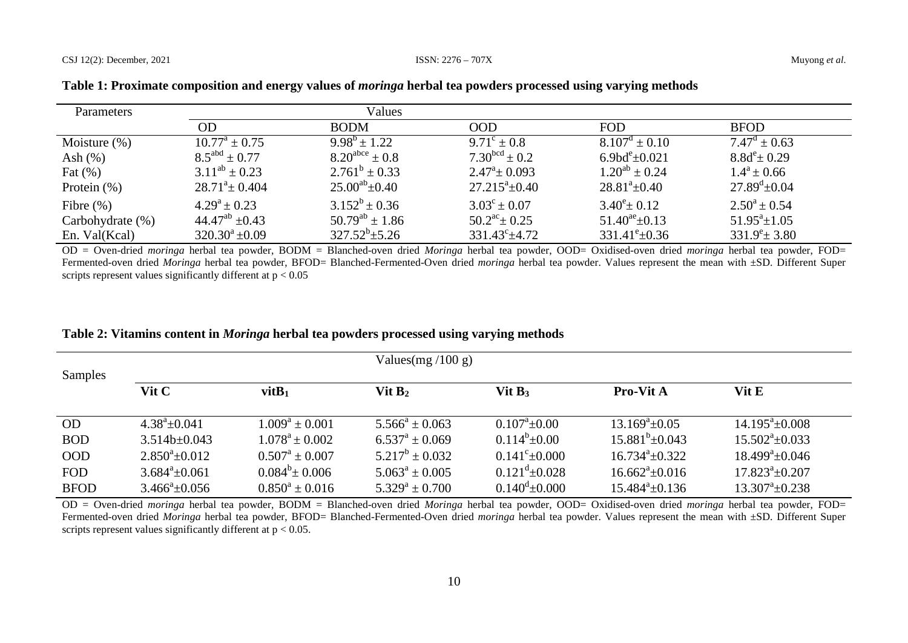### CSJ 12(2): December, 2021 ISSN: 2276 – 707X Muyong *et al*.

| <b>Parameters</b> |                             | Values                |                             |                             |                          |
|-------------------|-----------------------------|-----------------------|-----------------------------|-----------------------------|--------------------------|
|                   | OD                          | <b>BODM</b>           | <b>OOD</b>                  | <b>FOD</b>                  | <b>BFOD</b>              |
| Moisture $(\%)$   | $10.77^{\rm a} \pm 0.75$    | $9.98^b \pm 1.22$     | $9.71^{\circ} \pm 0.8$      | $8.107^d \pm 0.10$          | $7.47^{\rm d} \pm 0.63$  |
| Ash $(%)$         | $8.5^{\text{abd}} \pm 0.77$ | $8.20^{abc} \pm 0.8$  | $7.30^{bcd} \pm 0.2$        | 6.9bd $^{\rm e}{\pm}0.021$  | $8.8d^e \pm 0.29$        |
| Fat $(\%)$        | $3.11^{ab} \pm 0.23$        | $2.761^b \pm 0.33$    | $2.47^{\circ} \pm 0.093$    | $1.20^{ab} \pm 0.24$        | $1.4^a \pm 0.66$         |
| Protein $(\%)$    | $28.71^a \pm 0.404$         | $25.00^{ab} \pm 0.40$ | $27.215^{\circ}$ ± 0.40     | $28.81^{\circ}$ ±0.40       | $27.89^{\rm d} \pm 0.04$ |
| Fibre $(\% )$     | $4.29^a \pm 0.23$           | $3.152^b \pm 0.36$    | $3.03^{\circ} \pm 0.07$     | $3.40^{\circ} \pm 0.12$     | $2.50^a \pm 0.54$        |
| Carbohydrate (%)  | $44.47^{ab}$ $\pm 0.43$     | $50.79^{ab} \pm 1.86$ | $50.2^{\rm ac}$ ± 0.25      | $51.40^{\text{ae}}\pm 0.13$ | $51.95^a \pm 1.05$       |
| En. Val(Kcal)     | $320.30^a \pm 0.09$         | $327.52^b \pm 5.26$   | $331.43^{\circ}$ $\pm 4.72$ | $331.41^{\rm e} \pm 0.36$   | $331.9^e \pm 3.80$       |

| Table 1: Proximate composition and energy values of <i>moringa</i> herbal tea powders processed using varying methods |  |  |  |
|-----------------------------------------------------------------------------------------------------------------------|--|--|--|

OD = Oven-dried *moringa* herbal tea powder, BODM = Blanched-oven dried *Moringa* herbal tea powder, OOD= Oxidised-oven dried *moringa* herbal tea powder, FOD= Fermented-oven dried *Moringa* herbal tea powder, BFOD= Blanched-Fermented-Oven dried *moringa* herbal tea powder. Values represent the mean with ±SD. Different Super scripts represent values significantly different at  $p < 0.05$ 

|  | Table 2: Vitamins content in <i>Moringa</i> herbal tea powders processed using varying methods |  |  |  |  |
|--|------------------------------------------------------------------------------------------------|--|--|--|--|
|--|------------------------------------------------------------------------------------------------|--|--|--|--|

|             |                     |                           | Values(mg $/100$ g) |                              |                              |                          |
|-------------|---------------------|---------------------------|---------------------|------------------------------|------------------------------|--------------------------|
| Samples     | Vit C               | $v$ it $B_1$              | Vit $B_2$           | Vit $B_3$                    | Pro-Vit A                    | Vit E                    |
| <b>OD</b>   | $4.38^a \pm 0.041$  | $1.009^a \pm 0.001$       | $5.566^a \pm 0.063$ | $0.107^{\rm a}$ ±0.00        | $13.169^a \pm 0.05$          | $14.195^{\circ}$ ± 0.008 |
| <b>BOD</b>  | $3.514b+0.043$      | $1.078^a \pm 0.002$       | $6.537^a \pm 0.069$ | $0.114^{b} \pm 0.00$         | $15.881^{b} \pm 0.043$       | $15.502^{\circ}$ ± 0.033 |
| <b>OOD</b>  | $2.850^a \pm 0.012$ | $0.507^{\rm a} \pm 0.007$ | $5.217^b \pm 0.032$ | $0.141^{\circ}$ ± 0.000      | $16.734^{\circ}$ $\pm 0.322$ | $18.499^{\circ}$ ±0.046  |
| <b>FOD</b>  | $3.684^a \pm 0.061$ | $0.084^{b} \pm 0.006$     | $5.063^a \pm 0.005$ | $0.121^{d} \pm 0.028$        | $16.662^{\circ}$ ± 0.016     | $17.823^{\circ}$ ± 0.207 |
| <b>BFOD</b> | $3.466^a \pm 0.056$ | $0.850^a \pm 0.016$       | $5.329^a \pm 0.700$ | $0.140^{\text{d}} \pm 0.000$ | $15.484^{\circ}$ ± 0.136     | $13.307^{\circ}$ ± 0.238 |

OD = Oven-dried *moringa* herbal tea powder, BODM = Blanched-oven dried *Moringa* herbal tea powder, OOD= Oxidised-oven dried *moringa* herbal tea powder, FOD= Fermented-oven dried *Moringa* herbal tea powder, BFOD= Blanched-Fermented-Oven dried *moringa* herbal tea powder. Values represent the mean with ±SD. Different Super scripts represent values significantly different at  $p < 0.05$ .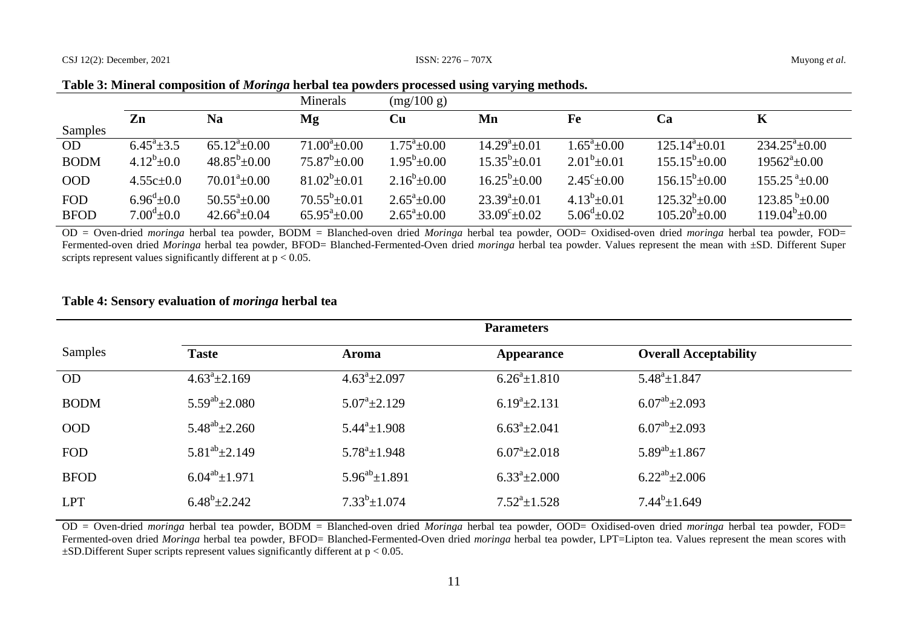|  |  |  | Table 3: Mineral composition of <i>Moringa</i> herbal tea powders processed using varying methods. |
|--|--|--|----------------------------------------------------------------------------------------------------|
|--|--|--|----------------------------------------------------------------------------------------------------|

|                           |                                            |                                                   | Minerals                                    | (mg/100 g)                                   |                                                      |                                              |                                              |                                              |
|---------------------------|--------------------------------------------|---------------------------------------------------|---------------------------------------------|----------------------------------------------|------------------------------------------------------|----------------------------------------------|----------------------------------------------|----------------------------------------------|
| Samples                   | Zn                                         | Na                                                | Mg                                          | $\mathbf{C}\mathbf{u}$                       | Mn                                                   | Fe                                           | Ca                                           | Κ                                            |
| <b>OD</b>                 | $6.45^{\circ}$ ± 3.5                       | $65.12^{\circ}$ ±0.00                             | $71.00^{\circ}$ ± 0.00                      | $1.75^a \pm 0.00$                            | $14.29^a \pm 0.01$                                   | $1.65^{\circ}$ ±0.00                         | $125.14^a \pm 0.01$                          | $234.25^{\circ}$ ± 0.00                      |
| <b>BODM</b>               | $4.12^b \pm 0.0$                           | $48.85^b \pm 0.00$                                | $75.87^b \pm 0.00$                          | $1.95^b \pm 0.00$                            | $15.35^b \pm 0.01$                                   | $2.01^b \pm 0.01$                            | $155.15^b \pm 0.00$                          | $19562^{\mathrm{a}}\pm0.00$                  |
| <b>OOD</b>                | $4.55c \pm 0.0$                            | $70.01^{\circ}$ ±0.00                             | $81.02^b \pm 0.01$                          | $2.16^b \pm 0.00$                            | $16.25^{\rm b} \pm 0.00$                             | $2.45^{\circ}$ ±0.00                         | $156.15^b \pm 0.00$                          | $155.25^{\text{a}} \pm 0.00$                 |
| <b>FOD</b><br><b>BFOD</b> | $6.96^{\rm d}$ ±0.0<br>$7.00^{\circ}$ ±0.0 | $50.55^{\circ}$ ±0.00<br>$42.66^{\circ} \pm 0.04$ | $70.55^b \pm 0.01$<br>$65.95^{\circ}$ ±0.00 | $2.65^{\circ}$ ±0.00<br>$2.65^{\circ}$ ±0.00 | $23.39^{\circ} \pm 0.01$<br>$33.09^{\circ} \pm 0.02$ | $4.13^b \pm 0.01$<br>$5.06^{\rm d} \pm 0.02$ | $125.32^b \pm 0.00$<br>$105.20^{b} \pm 0.00$ | $123.85^{b} \pm 0.00$<br>$119.04^b \pm 0.00$ |

OD = Oven-dried *moringa* herbal tea powder, BODM = Blanched-oven dried *Moringa* herbal tea powder, OOD= Oxidised-oven dried *moringa* herbal tea powder, FOD= Fermented-oven dried *Moringa* herbal tea powder, BFOD= Blanched-Fermented-Oven dried *moringa* herbal tea powder. Values represent the mean with ±SD. Different Super scripts represent values significantly different at  $p < 0.05$ .

# **Table 4: Sensory evaluation of** *moringa* **herbal tea**

|             | <b>Parameters</b>     |                               |                             |                              |  |  |
|-------------|-----------------------|-------------------------------|-----------------------------|------------------------------|--|--|
| Samples     | <b>Taste</b>          | <b>Aroma</b>                  | Appearance                  | <b>Overall Acceptability</b> |  |  |
| <b>OD</b>   | $4.63^{\circ}$ ±2.169 | $4.63^{\circ}$ ± 2.097        | $6.26^{\circ}$ ±1.810       | $5.48^{\circ} \pm 1.847$     |  |  |
| <b>BODM</b> | $5.59^{ab} \pm 2.080$ | $5.07^{\mathrm{a}}\pm2.129$   | $6.19^a \pm 2.131$          | $6.07^{ab}$ ± 2.093          |  |  |
| <b>OOD</b>  | $5.48^{ab} \pm 2.260$ | $5.44^a \pm 1.908$            | $6.63^{\circ}$ ± 2.041      | $6.07^{ab}$ ± 2.093          |  |  |
| <b>FOD</b>  | $5.81^{ab} \pm 2.149$ | $5.78^{\mathrm{a}} \pm 1.948$ | $6.07^{\mathrm{a}}\pm2.018$ | $5.89^{ab}$ ± 1.867          |  |  |
| <b>BFOD</b> | $6.04^{ab}$ ± 1.971   | $5.96^{ab} \pm 1.891$         | $6.33^{\circ}$ ±2.000       | $6.22^{ab} \pm 2.006$        |  |  |
| <b>LPT</b>  | $6.48^b \pm 2.242$    | $7.33^b \pm 1.074$            | $7.52^a \pm 1.528$          | $7.44^b \pm 1.649$           |  |  |

OD = Oven-dried *moringa* herbal tea powder, BODM = Blanched-oven dried *Moringa* herbal tea powder, OOD= Oxidised-oven dried *moringa* herbal tea powder, FOD= Fermented-oven dried *Moringa* herbal tea powder, BFOD= Blanched-Fermented-Oven dried *moringa* herbal tea powder, LPT=Lipton tea. Values represent the mean scores with  $\pm$ SD.Different Super scripts represent values significantly different at  $p < 0.05$ .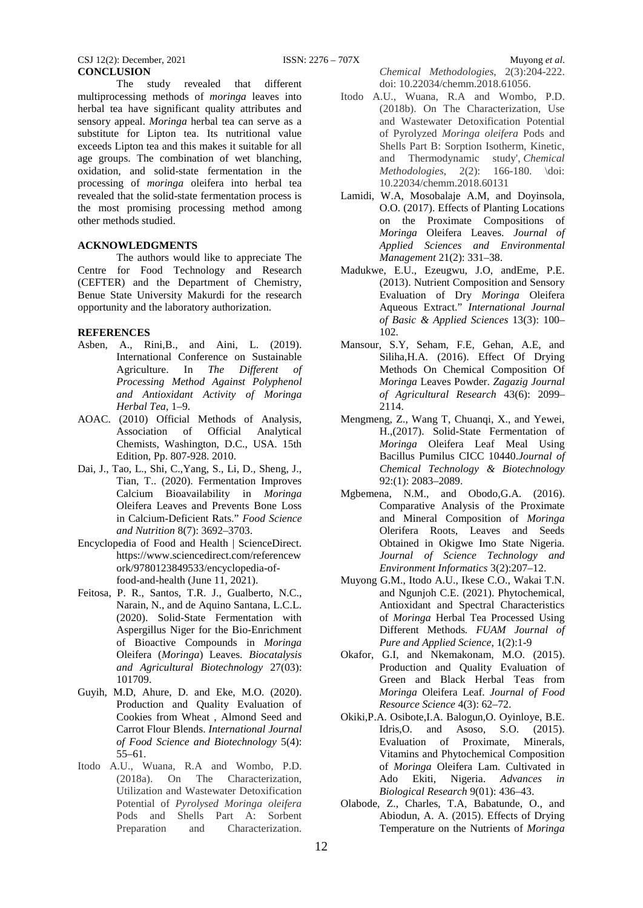The study revealed that different multiprocessing methods of *moringa* leaves into herbal tea have significant quality attributes and sensory appeal. *Moringa* herbal tea can serve as a substitute for Lipton tea. Its nutritional value exceeds Lipton tea and this makes it suitable for all age groups. The combination of wet blanching, oxidation, and solid-state fermentation in the processing of *moringa* oleifera into herbal tea revealed that the solid-state fermentation process is the most promising processing method among other methods studied.

# **ACKNOWLEDGMENTS**

The authors would like to appreciate The Centre for Food Technology and Research (CEFTER) and the Department of Chemistry, Benue State University Makurdi for the research opportunity and the laboratory authorization.

# **REFERENCES**

- Asben, A., Rini,B., and Aini, L. (2019). International Conference on Sustainable Agriculture. In *The Different of Processing Method Against Polyphenol and Antioxidant Activity of Moringa Herbal Tea*, 1–9.
- AOAC. (2010) Official Methods of Analysis, Association of Official Analytical Chemists, Washington, D.C., USA. 15th Edition, Pp. 807-928. 2010.
- Dai, J., Tao, L., Shi, C.,Yang, S., Li, D., Sheng, J., Tian, T.. (2020). Fermentation Improves Calcium Bioavailability in *Moringa* Oleifera Leaves and Prevents Bone Loss in Calcium-Deficient Rats." *Food Science and Nutrition* 8(7): 3692–3703.
- Encyclopedia of Food and Health | ScienceDirect. https://www.sciencedirect.com/referencew ork/9780123849533/encyclopedia-offood-and-health (June 11, 2021).
- Feitosa, P. R., Santos, T.R. J., Gualberto, N.C., Narain, N., and de Aquino Santana, L.C.L. (2020). Solid-State Fermentation with Aspergillus Niger for the Bio-Enrichment of Bioactive Compounds in *Moringa* Oleifera (*Moringa*) Leaves. *Biocatalysis and Agricultural Biotechnology* 27(03): 101709.
- Guyih, M.D, Ahure, D. and Eke, M.O. (2020). Production and Quality Evaluation of Cookies from Wheat , Almond Seed and Carrot Flour Blends. *International Journal of Food Science and Biotechnology* 5(4): 55–61.
- Itodo A.U., Wuana, R.A and Wombo, P.D. (2018a). On The Characterization, Utilization and Wastewater Detoxification Potential of *Pyrolysed Moringa oleifera* Pods and Shells Part A: Sorbent Preparation and Characterization.

*Chemical Methodologies*, 2(3):204-222. doi: 10.22034/chemm.2018.61056.

- Itodo A.U., Wuana, R.A and Wombo, P.D. (2018b). On The Characterization, Use and Wastewater Detoxification Potential of Pyrolyzed *Moringa oleifera* Pods and Shells Part B: Sorption Isotherm, Kinetic, and Thermodynamic study', *Chemical Methodologies*, 2(2): 166-180. \doi: 10.22034/chemm.2018.60131
- Lamidi, W.A, Mosobalaje A.M, and Doyinsola, O.O. (2017). Effects of Planting Locations on the Proximate Compositions of *Moringa* Oleifera Leaves. *Journal of Applied Sciences and Environmental Management* 21(2): 331–38.
- Madukwe, E.U., Ezeugwu, J.O, andEme, P.E. (2013). Nutrient Composition and Sensory Evaluation of Dry *Moringa* Oleifera Aqueous Extract." *International Journal of Basic & Applied Sciences* 13(3): 100– 102.
- Mansour, S.Y, Seham, F.E, Gehan, A.E, and Siliha,H.A. (2016). Effect Of Drying Methods On Chemical Composition Of *Moringa* Leaves Powder. *Zagazig Journal of Agricultural Research* 43(6): 2099– 2114.
- Mengmeng, Z., Wang T, Chuanqi, X., and Yewei, H.,(2017). Solid-State Fermentation of *Moringa* Oleifera Leaf Meal Using Bacillus Pumilus CICC 10440.*Journal of Chemical Technology & Biotechnology* 92:(1): 2083–2089.
- Mgbemena, N.M., and Obodo,G.A. (2016). Comparative Analysis of the Proximate and Mineral Composition of *Moringa* Olerifera Roots, Leaves and Seeds Obtained in Okigwe Imo State Nigeria. *Journal of Science Technology and Environment Informatics* 3(2):207–12.
- Muyong G.M., Itodo A.U., Ikese C.O., Wakai T.N. and Ngunjoh C.E. (2021). Phytochemical, Antioxidant and Spectral Characteristics of *Moringa* Herbal Tea Processed Using Different Methods*. FUAM Journal of Pure and Applied Science*, 1(2):1-9
- Okafor, G.I, and Nkemakonam, M.O. (2015). Production and Quality Evaluation of Green and Black Herbal Teas from *Moringa* Oleifera Leaf. *Journal of Food Resource Science* 4(3): 62–72.
- Okiki,P.A. Osibote,I.A. Balogun,O. Oyinloye, B.E. Idris,O. and Asoso, S.O. (2015). Evaluation of Proximate, Minerals, Vitamins and Phytochemical Composition of *Moringa* Oleifera Lam. Cultivated in Ado Ekiti, Nigeria. *Advances in Biological Research* 9(01): 436–43.
- Olabode, Z., Charles, T.A, Babatunde, O., and Abiodun, A. A. (2015). Effects of Drying Temperature on the Nutrients of *Moringa*